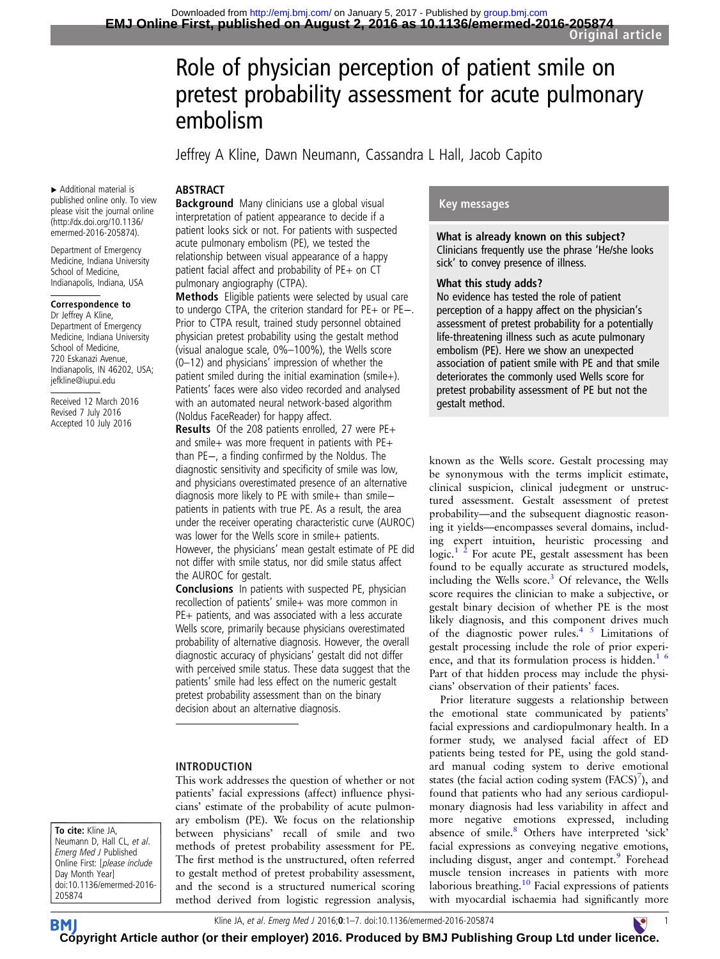# Role of physician perception of patient smile on pretest probability assessment for acute pulmonary embolism

Jeffrey A Kline, Dawn Neumann, Cassandra L Hall, Jacob Capito

#### **ABSTRACT**

▸ Additional material is published online only. To view please visit the journal online [\(http://dx.doi.org/10.1136/](http://dx.doi.org/10.1136/emermed-2016-205874) [emermed-2016-205874](http://dx.doi.org/10.1136/emermed-2016-205874)).

Department of Emergency Medicine, Indiana University School of Medicine, Indianapolis, Indiana, USA

#### Correspondence to

Dr Jeffrey A Kline, Department of Emergency Medicine, Indiana University School of Medicine, 720 Eskanazi Avenue, Indianapolis, IN 46202, USA; jefkline@iupui.edu

Received 12 March 2016 Revised 7 July 2016 Accepted 10 July 2016

Background Many clinicians use a global visual interpretation of patient appearance to decide if a patient looks sick or not. For patients with suspected acute pulmonary embolism (PE), we tested the relationship between visual appearance of a happy patient facial affect and probability of PE+ on CT pulmonary angiography (CTPA).

Methods Eligible patients were selected by usual care to undergo CTPA, the criterion standard for PE+ or PE−. Prior to CTPA result, trained study personnel obtained physician pretest probability using the gestalt method (visual analogue scale, 0%–100%), the Wells score (0–12) and physicians' impression of whether the patient smiled during the initial examination (smile+). Patients' faces were also video recorded and analysed with an automated neural network-based algorithm (Noldus FaceReader) for happy affect.

Results Of the 208 patients enrolled, 27 were PE+ and smile+ was more frequent in patients with PE+ than PE−, a finding confirmed by the Noldus. The diagnostic sensitivity and specificity of smile was low, and physicians overestimated presence of an alternative diagnosis more likely to PE with smile+ than smilepatients in patients with true PE. As a result, the area under the receiver operating characteristic curve (AUROC) was lower for the Wells score in smile+ patients. However, the physicians' mean gestalt estimate of PE did not differ with smile status, nor did smile status affect the AUROC for gestalt.

Conclusions In patients with suspected PE, physician recollection of patients' smile+ was more common in PE+ patients, and was associated with a less accurate Wells score, primarily because physicians overestimated probability of alternative diagnosis. However, the overall diagnostic accuracy of physicians' gestalt did not differ with perceived smile status. These data suggest that the patients' smile had less effect on the numeric gestalt pretest probability assessment than on the binary decision about an alternative diagnosis.

#### INTRODUCTION

This work addresses the question of whether or not patients' facial expressions (affect) influence physicians' estimate of the probability of acute pulmonary embolism (PE). We focus on the relationship between physicians' recall of smile and two methods of pretest probability assessment for PE. The first method is the unstructured, often referred to gestalt method of pretest probability assessment, and the second is a structured numerical scoring method derived from logistic regression analysis,

#### Key messages

What is already known on this subject? Clinicians frequently use the phrase 'He/she looks sick' to convey presence of illness.

#### What this study adds?

No evidence has tested the role of patient perception of a happy affect on the physician's assessment of pretest probability for a potentially life-threatening illness such as acute pulmonary embolism (PE). Here we show an unexpected association of patient smile with PE and that smile deteriorates the commonly used Wells score for pretest probability assessment of PE but not the gestalt method.

known as the Wells score. Gestalt processing may be synonymous with the terms implicit estimate, clinical suspicion, clinical judegment or unstructured assessment. Gestalt assessment of pretest probability—and the subsequent diagnostic reasoning it yields—encompasses several domains, including expert intuition, heuristic processing and logic. $1^2$  For acute PE, gestalt assessment has been found to be equally accurate as structured models, including the Wells score. $3$  Of relevance, the Wells score requires the clinician to make a subjective, or gestalt binary decision of whether PE is the most likely diagnosis, and this component drives much of the diagnostic power rules.<sup>4 5</sup> Limitations of gestalt processing include the role of prior experience, and that its formulation process is hidden. $1/6$ Part of that hidden process may include the physicians' observation of their patients' faces.

Prior literature suggests a relationship between the emotional state communicated by patients' facial expressions and cardiopulmonary health. In a former study, we analysed facial affect of ED patients being tested for PE, using the gold standard manual coding system to derive emotional states (the facial action coding system  $(FACS)^7$ ), and found that patients who had any serious cardiopulmonary diagnosis had less variability in affect and more negative emotions expressed, including absence of smile.<sup>[8](#page-5-0)</sup> Others have interpreted 'sick' facial expressions as conveying negative emotions, including disgust, anger and contempt. Forehead muscle tension increases in patients with more laborious breathing.<sup>[10](#page-5-0)</sup> Facial expressions of patients with myocardial ischaemia had significantly more

To cite: Kline JA, Neumann D, Hall CL, et al. Emerg Med J Published Online First: [please include Day Month Year] doi:10.1136/emermed-2016- 205874

Kline JA, *et al. Emerg Med J* 2016**;0:**1–7. doi:10.1136/emermed-2016-205874 1

**BM [Cop](http://emj.bmj.com)yright Article author (or their employer) 2016. Produced by BMJ Publishing Group Ltd under lic[enc](http://www.collemergencymed.ac.uk/)e.** 

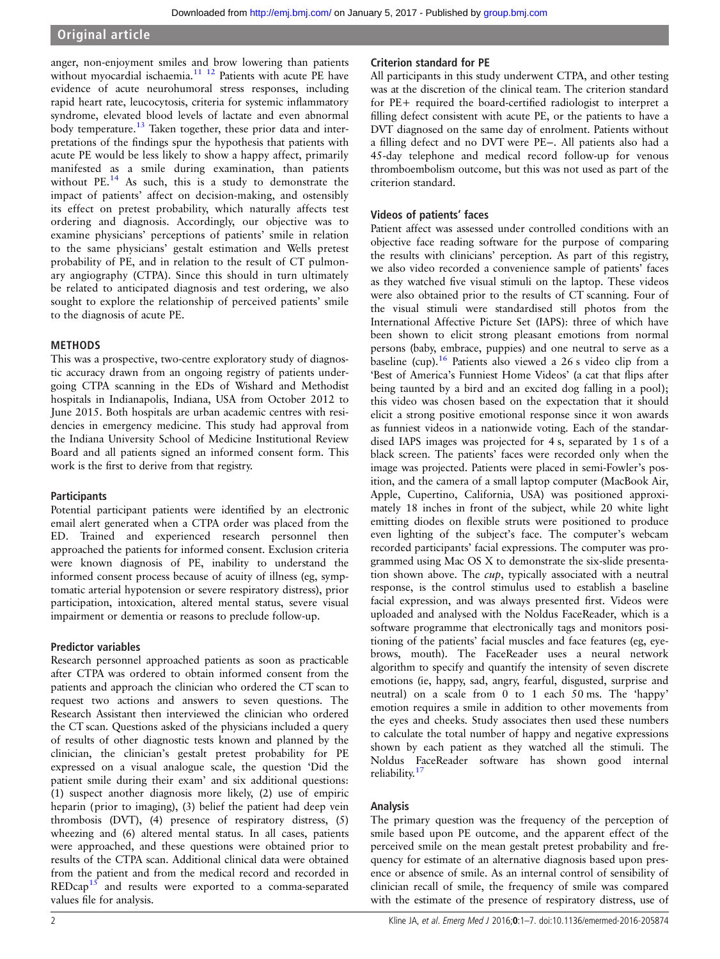anger, non-enjoyment smiles and brow lowering than patients without myocardial ischaemia.<sup>[11 12](#page-5-0)</sup> Patients with acute PE have evidence of acute neurohumoral stress responses, including rapid heart rate, leucocytosis, criteria for systemic inflammatory syndrome, elevated blood levels of lactate and even abnormal body temperature.<sup>[13](#page-5-0)</sup> Taken together, these prior data and interpretations of the findings spur the hypothesis that patients with acute PE would be less likely to show a happy affect, primarily manifested as a smile during examination, than patients without PE.<sup>[14](#page-5-0)</sup> As such, this is a study to demonstrate the impact of patients' affect on decision-making, and ostensibly its effect on pretest probability, which naturally affects test ordering and diagnosis. Accordingly, our objective was to examine physicians' perceptions of patients' smile in relation to the same physicians' gestalt estimation and Wells pretest probability of PE, and in relation to the result of CT pulmonary angiography (CTPA). Since this should in turn ultimately be related to anticipated diagnosis and test ordering, we also sought to explore the relationship of perceived patients' smile to the diagnosis of acute PE.

#### METHODS

This was a prospective, two-centre exploratory study of diagnostic accuracy drawn from an ongoing registry of patients undergoing CTPA scanning in the EDs of Wishard and Methodist hospitals in Indianapolis, Indiana, USA from October 2012 to June 2015. Both hospitals are urban academic centres with residencies in emergency medicine. This study had approval from the Indiana University School of Medicine Institutional Review Board and all patients signed an informed consent form. This work is the first to derive from that registry.

#### **Participants**

Potential participant patients were identified by an electronic email alert generated when a CTPA order was placed from the ED. Trained and experienced research personnel then approached the patients for informed consent. Exclusion criteria were known diagnosis of PE, inability to understand the informed consent process because of acuity of illness (eg, symptomatic arterial hypotension or severe respiratory distress), prior participation, intoxication, altered mental status, severe visual impairment or dementia or reasons to preclude follow-up.

#### Predictor variables

Research personnel approached patients as soon as practicable after CTPA was ordered to obtain informed consent from the patients and approach the clinician who ordered the CT scan to request two actions and answers to seven questions. The Research Assistant then interviewed the clinician who ordered the CT scan. Questions asked of the physicians included a query of results of other diagnostic tests known and planned by the clinician, the clinician's gestalt pretest probability for PE expressed on a visual analogue scale, the question 'Did the patient smile during their exam' and six additional questions: (1) suspect another diagnosis more likely, (2) use of empiric heparin (prior to imaging), (3) belief the patient had deep vein thrombosis (DVT), (4) presence of respiratory distress, (5) wheezing and (6) altered mental status. In all cases, patients were approached, and these questions were obtained prior to results of the CTPA scan. Additional clinical data were obtained from the patient and from the medical record and recorded in  $REDcap^{15}$  $REDcap^{15}$  $REDcap^{15}$  and results were exported to a comma-separated values file for analysis.

#### Criterion standard for PE

All participants in this study underwent CTPA, and other testing was at the discretion of the clinical team. The criterion standard for PE+ required the board-certified radiologist to interpret a filling defect consistent with acute PE, or the patients to have a DVT diagnosed on the same day of enrolment. Patients without a filling defect and no DVT were PE−. All patients also had a 45-day telephone and medical record follow-up for venous thromboembolism outcome, but this was not used as part of the criterion standard.

#### Videos of patients' faces

Patient affect was assessed under controlled conditions with an objective face reading software for the purpose of comparing the results with clinicians' perception. As part of this registry, we also video recorded a convenience sample of patients' faces as they watched five visual stimuli on the laptop. These videos were also obtained prior to the results of CT scanning. Four of the visual stimuli were standardised still photos from the International Affective Picture Set (IAPS): three of which have been shown to elicit strong pleasant emotions from normal persons (baby, embrace, puppies) and one neutral to serve as a baseline (cup).<sup>[16](#page-6-0)</sup> Patients also viewed a 26 s video clip from a 'Best of America's Funniest Home Videos' (a cat that flips after being taunted by a bird and an excited dog falling in a pool); this video was chosen based on the expectation that it should elicit a strong positive emotional response since it won awards as funniest videos in a nationwide voting. Each of the standardised IAPS images was projected for 4 s, separated by 1 s of a black screen. The patients' faces were recorded only when the image was projected. Patients were placed in semi-Fowler's position, and the camera of a small laptop computer (MacBook Air, Apple, Cupertino, California, USA) was positioned approximately 18 inches in front of the subject, while 20 white light emitting diodes on flexible struts were positioned to produce even lighting of the subject's face. The computer's webcam recorded participants' facial expressions. The computer was programmed using Mac OS X to demonstrate the six-slide presentation shown above. The cup, typically associated with a neutral response, is the control stimulus used to establish a baseline facial expression, and was always presented first. Videos were uploaded and analysed with the Noldus FaceReader, which is a software programme that electronically tags and monitors positioning of the patients' facial muscles and face features (eg, eyebrows, mouth). The FaceReader uses a neural network algorithm to specify and quantify the intensity of seven discrete emotions (ie, happy, sad, angry, fearful, disgusted, surprise and neutral) on a scale from 0 to 1 each 50 ms. The 'happy' emotion requires a smile in addition to other movements from the eyes and cheeks. Study associates then used these numbers to calculate the total number of happy and negative expressions shown by each patient as they watched all the stimuli. The Noldus FaceReader software has shown good internal reliability.[17](#page-6-0)

#### Analysis

The primary question was the frequency of the perception of smile based upon PE outcome, and the apparent effect of the perceived smile on the mean gestalt pretest probability and frequency for estimate of an alternative diagnosis based upon presence or absence of smile. As an internal control of sensibility of clinician recall of smile, the frequency of smile was compared with the estimate of the presence of respiratory distress, use of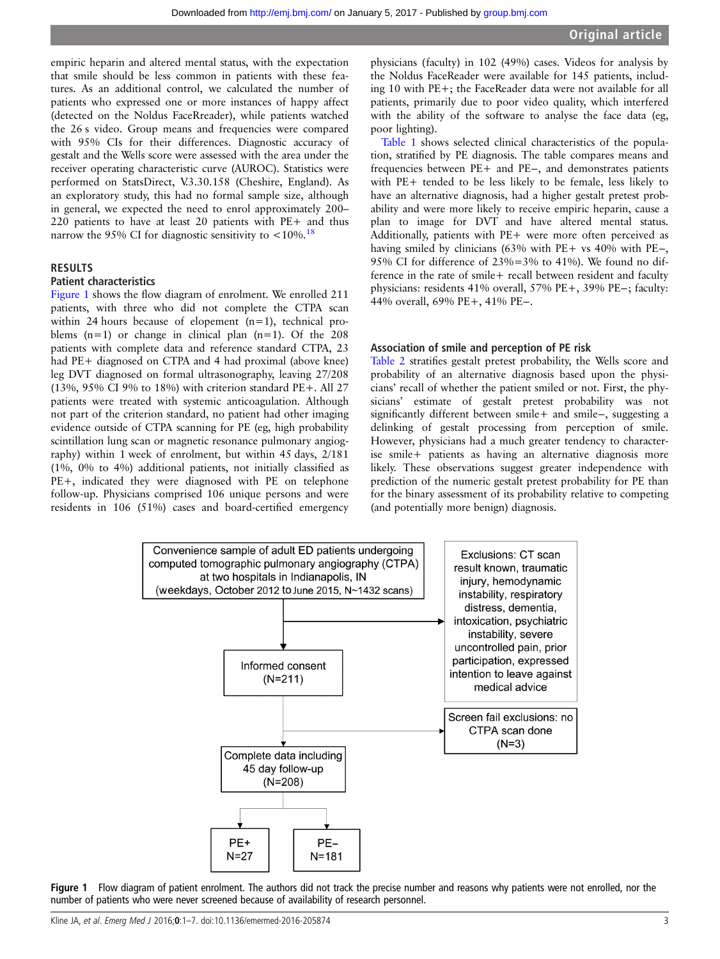empiric heparin and altered mental status, with the expectation that smile should be less common in patients with these features. As an additional control, we calculated the number of patients who expressed one or more instances of happy affect (detected on the Noldus FaceRreader), while patients watched the 26 s video. Group means and frequencies were compared with 95% CIs for their differences. Diagnostic accuracy of gestalt and the Wells score were assessed with the area under the receiver operating characteristic curve (AUROC). Statistics were performed on StatsDirect, V.3.30.158 (Cheshire, England). As an exploratory study, this had no formal sample size, although in general, we expected the need to enrol approximately 200– 220 patients to have at least 20 patients with PE+ and thus narrow the 95% CI for diagnostic sensitivity to  $\lt 10\%$ .<sup>[18](#page-6-0)</sup>

#### RESULTS

#### Patient characteristics

Figure 1 shows the flow diagram of enrolment. We enrolled 211 patients, with three who did not complete the CTPA scan within 24 hours because of elopement (n=1), technical problems  $(n=1)$  or change in clinical plan  $(n=1)$ . Of the 208 patients with complete data and reference standard CTPA, 23 had PE+ diagnosed on CTPA and 4 had proximal (above knee) leg DVT diagnosed on formal ultrasonography, leaving 27/208 (13%, 95% CI 9% to 18%) with criterion standard PE+. All 27 patients were treated with systemic anticoagulation. Although not part of the criterion standard, no patient had other imaging evidence outside of CTPA scanning for PE (eg, high probability scintillation lung scan or magnetic resonance pulmonary angiography) within 1 week of enrolment, but within 45 days, 2/181 (1%, 0% to 4%) additional patients, not initially classified as PE+, indicated they were diagnosed with PE on telephone follow-up. Physicians comprised 106 unique persons and were residents in 106 (51%) cases and board-certified emergency

physicians (faculty) in 102 (49%) cases. Videos for analysis by the Noldus FaceReader were available for 145 patients, including 10 with PE+; the FaceReader data were not available for all patients, primarily due to poor video quality, which interfered with the ability of the software to analyse the face data (eg, poor lighting).

[Table 1](#page-3-0) shows selected clinical characteristics of the population, stratified by PE diagnosis. The table compares means and frequencies between PE+ and PE−, and demonstrates patients with PE+ tended to be less likely to be female, less likely to have an alternative diagnosis, had a higher gestalt pretest probability and were more likely to receive empiric heparin, cause a plan to image for DVT and have altered mental status. Additionally, patients with PE+ were more often perceived as having smiled by clinicians (63% with PE+ vs 40% with PE−, 95% CI for difference of  $23\% = 3\%$  to 41%). We found no difference in the rate of smile+ recall between resident and faculty physicians: residents 41% overall, 57% PE+, 39% PE−; faculty: 44% overall, 69% PE+, 41% PE−.

#### Association of smile and perception of PE risk

[Table 2](#page-3-0) stratifies gestalt pretest probability, the Wells score and probability of an alternative diagnosis based upon the physicians' recall of whether the patient smiled or not. First, the physicians' estimate of gestalt pretest probability was not significantly different between smile+ and smile−, suggesting a delinking of gestalt processing from perception of smile. However, physicians had a much greater tendency to characterise smile+ patients as having an alternative diagnosis more likely. These observations suggest greater independence with prediction of the numeric gestalt pretest probability for PE than for the binary assessment of its probability relative to competing (and potentially more benign) diagnosis.



Figure 1 Flow diagram of patient enrolment. The authors did not track the precise number and reasons why patients were not enrolled, nor the number of patients who were never screened because of availability of research personnel.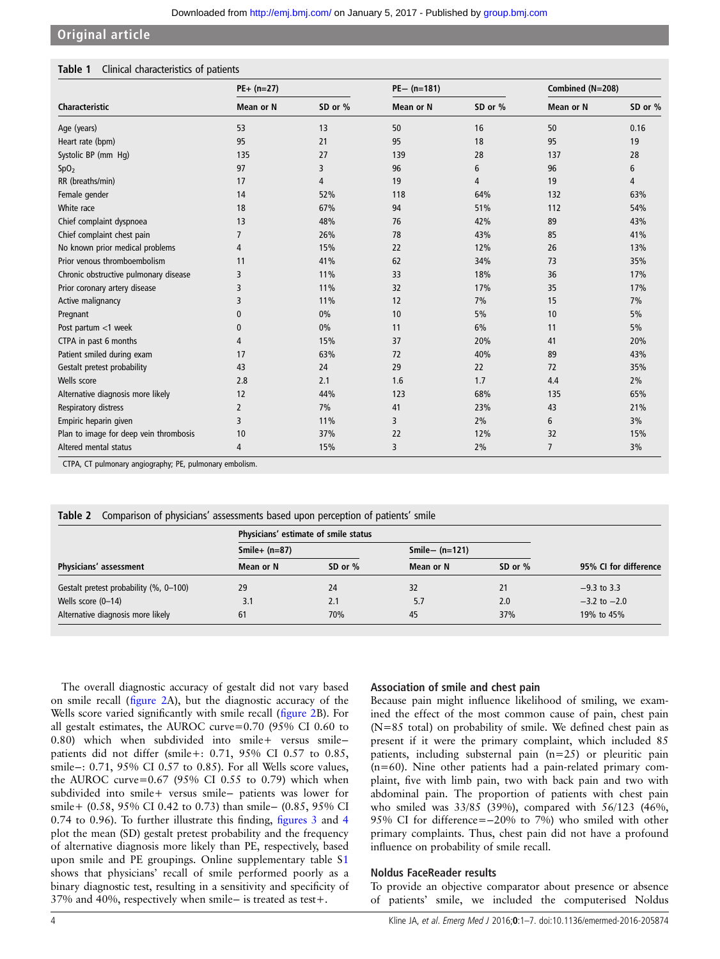#### <span id="page-3-0"></span>Original article

#### Table 1 Clinical characteristics of patients

| Characteristic                         | $PE+ (n=27)$ |         | $PE - (n=181)$   |         | Combined (N=208) |         |
|----------------------------------------|--------------|---------|------------------|---------|------------------|---------|
|                                        | Mean or N    | SD or % | <b>Mean or N</b> | SD or % | <b>Mean or N</b> | SD or % |
| Age (years)                            | 53           | 13      | 50               | 16      | 50               | 0.16    |
| Heart rate (bpm)                       | 95           | 21      | 95               | 18      | 95               | 19      |
| Systolic BP (mm Hq)                    | 135          | 27      | 139              | 28      | 137              | 28      |
| SpO <sub>2</sub>                       | 97           | 3       | 96               | 6       | 96               | 6       |
| RR (breaths/min)                       | 17           | 4       | 19               | 4       | 19               | 4       |
| Female gender                          | 14           | 52%     | 118              | 64%     | 132              | 63%     |
| White race                             | 18           | 67%     | 94               | 51%     | 112              | 54%     |
| Chief complaint dyspnoea               | 13           | 48%     | 76               | 42%     | 89               | 43%     |
| Chief complaint chest pain             | 7            | 26%     | 78               | 43%     | 85               | 41%     |
| No known prior medical problems        | 4            | 15%     | 22               | 12%     | 26               | 13%     |
| Prior venous thromboembolism           | 11           | 41%     | 62               | 34%     | 73               | 35%     |
| Chronic obstructive pulmonary disease  | 3            | 11%     | 33               | 18%     | 36               | 17%     |
| Prior coronary artery disease          | 3            | 11%     | 32               | 17%     | 35               | 17%     |
| Active malignancy                      | 3            | 11%     | 12               | 7%      | 15               | 7%      |
| Pregnant                               | $\mathbf{0}$ | 0%      | 10               | 5%      | 10               | 5%      |
| Post partum <1 week                    | 0            | 0%      | 11               | 6%      | 11               | 5%      |
| CTPA in past 6 months                  | 4            | 15%     | 37               | 20%     | 41               | 20%     |
| Patient smiled during exam             | 17           | 63%     | 72               | 40%     | 89               | 43%     |
| Gestalt pretest probability            | 43           | 24      | 29               | 22      | 72               | 35%     |
| Wells score                            | 2.8          | 2.1     | 1.6              | 1.7     | 4.4              | 2%      |
| Alternative diagnosis more likely      | 12           | 44%     | 123              | 68%     | 135              | 65%     |
| Respiratory distress                   | 2            | 7%      | 41               | 23%     | 43               | 21%     |
| Empiric heparin given                  | 3            | 11%     | 3                | 2%      | 6                | 3%      |
| Plan to image for deep vein thrombosis | 10           | 37%     | 22               | 12%     | 32               | 15%     |
| Altered mental status                  | 4            | 15%     | 3                | 2%      | 7                | 3%      |

CTPA, CT pulmonary angiography; PE, pulmonary embolism.

|                                        | Physicians' estimate of smile status |           |                  |           |                       |
|----------------------------------------|--------------------------------------|-----------|------------------|-----------|-----------------------|
|                                        | Smile+ $(n=87)$                      |           | Smile- $(n=121)$ |           |                       |
| Physicians' assessment                 | Mean or N                            | SD or $%$ | Mean or N        | SD or $%$ | 95% CI for difference |
| Gestalt pretest probability (%, 0-100) | 29                                   | 24        | 32               | 21        | $-9.3$ to 3.3         |
| Wells score (0-14)                     | 3.1                                  | 2.1       | 5.7              | 2.0       | $-3.2$ to $-2.0$      |
| Alternative diagnosis more likely      | 61                                   | 70%       | 45               | 37%       | 19% to 45%            |

Table 2 Comparison of physicians' assessments based upon perception of patients' smile

The overall diagnostic accuracy of gestalt did not vary based on smile recall (fi[gure 2](#page-4-0)A), but the diagnostic accuracy of the Wells score varied significantly with smile recall (fi[gure 2B](#page-4-0)). For all gestalt estimates, the AUROC curve=0.70 (95% CI 0.60 to 0.80) which when subdivided into smile+ versus smilepatients did not differ (smile+: 0.71, 95% CI 0.57 to 0.85, smile−: 0.71, 95% CI 0.57 to 0.85). For all Wells score values, the AUROC curve=0.67 (95% CI 0.55 to 0.79) which when subdivided into smile+ versus smile− patients was lower for smile+ (0.58, 95% CI 0.42 to 0.73) than smile− (0.85, 95% CI 0.74 to 0.96). To further illustrate this finding, fi[gures 3](#page-4-0) and [4](#page-4-0) plot the mean (SD) gestalt pretest probability and the frequency of alternative diagnosis more likely than PE, respectively, based upon smile and PE groupings. Online supplementary table S1 shows that physicians' recall of smile performed poorly as a binary diagnostic test, resulting in a sensitivity and specificity of 37% and 40%, respectively when smile− is treated as test+.

#### Association of smile and chest pain

Because pain might influence likelihood of smiling, we examined the effect of the most common cause of pain, chest pain (N=85 total) on probability of smile. We defined chest pain as present if it were the primary complaint, which included 85 patients, including substernal pain (n=25) or pleuritic pain (n=60). Nine other patients had a pain-related primary complaint, five with limb pain, two with back pain and two with abdominal pain. The proportion of patients with chest pain who smiled was 33/85 (39%), compared with 56/123 (46%, 95% CI for difference=−20% to 7%) who smiled with other primary complaints. Thus, chest pain did not have a profound influence on probability of smile recall.

#### Noldus FaceReader results

To provide an objective comparator about presence or absence of patients' smile, we included the computerised Noldus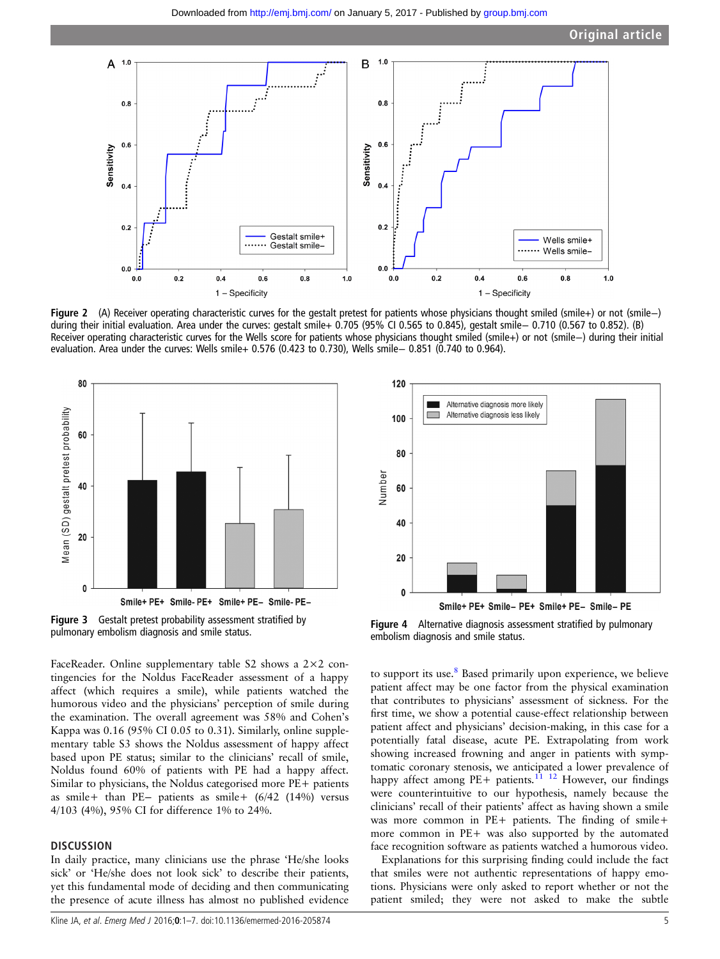<span id="page-4-0"></span>

Figure 2 (A) Receiver operating characteristic curves for the gestalt pretest for patients whose physicians thought smiled (smile+) or not (smile−) during their initial evaluation. Area under the curves: gestalt smile+ 0.705 (95% CI 0.565 to 0.845), gestalt smile− 0.710 (0.567 to 0.852). (B) Receiver operating characteristic curves for the Wells score for patients whose physicians thought smiled (smile+) or not (smile−) during their initial evaluation. Area under the curves: Wells smile+ 0.576 (0.423 to 0.730), Wells smile− 0.851 (0.740 to 0.964).



Figure 3 Gestalt pretest probability assessment stratified by **Figure 3** Gestalt pretest probability assessment stratified by<br>pulmonary embolism diagnosis and smile status.<br>Alternative diagnosis and smile status and smile status and smile status

FaceReader. Online supplementary table S2 shows a 2×2 contingencies for the Noldus FaceReader assessment of a happy affect (which requires a smile), while patients watched the humorous video and the physicians' perception of smile during the examination. The overall agreement was 58% and Cohen's Kappa was 0.16 (95% CI 0.05 to 0.31). Similarly, online supplementary table S3 shows the Noldus assessment of happy affect based upon PE status; similar to the clinicians' recall of smile, Noldus found 60% of patients with PE had a happy affect. Similar to physicians, the Noldus categorised more PE+ patients as smile+ than PE− patients as smile+ (6/42 (14%) versus 4/103 (4%), 95% CI for difference 1% to 24%.

#### **DISCUSSION**

In daily practice, many clinicians use the phrase 'He/she looks sick' or 'He/she does not look sick' to describe their patients, yet this fundamental mode of deciding and then communicating the presence of acute illness has almost no published evidence



Smile+ PE+ Smile- PE+ Smile+ PE- Smile- PE

embolism diagnosis and smile status.

to support its use.<sup>[8](#page-5-0)</sup> Based primarily upon experience, we believe patient affect may be one factor from the physical examination that contributes to physicians' assessment of sickness. For the first time, we show a potential cause-effect relationship between patient affect and physicians' decision-making, in this case for a potentially fatal disease, acute PE. Extrapolating from work showing increased frowning and anger in patients with symptomatic coronary stenosis, we anticipated a lower prevalence of happy affect among PE+ patients.<sup>11</sup> <sup>12</sup> However, our findings were counterintuitive to our hypothesis, namely because the clinicians' recall of their patients' affect as having shown a smile was more common in PE+ patients. The finding of smile+ more common in PE+ was also supported by the automated face recognition software as patients watched a humorous video.

Explanations for this surprising finding could include the fact that smiles were not authentic representations of happy emotions. Physicians were only asked to report whether or not the patient smiled; they were not asked to make the subtle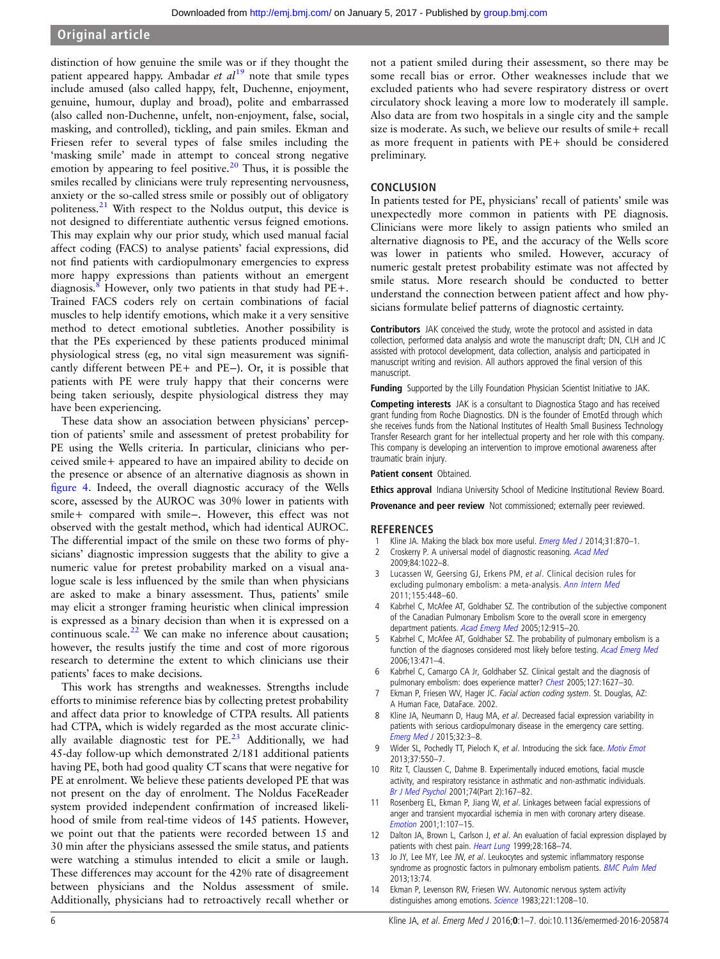### <span id="page-5-0"></span>Original article

distinction of how genuine the smile was or if they thought the patient appeared happy. Ambadar et al<sup>[19](#page-6-0)</sup> note that smile types include amused (also called happy, felt, Duchenne, enjoyment, genuine, humour, duplay and broad), polite and embarrassed (also called non-Duchenne, unfelt, non-enjoyment, false, social, masking, and controlled), tickling, and pain smiles. Ekman and Friesen refer to several types of false smiles including the 'masking smile' made in attempt to conceal strong negative emotion by appearing to feel positive.<sup>[20](#page-6-0)</sup> Thus, it is possible the smiles recalled by clinicians were truly representing nervousness, anxiety or the so-called stress smile or possibly out of obligatory politeness.[21](#page-6-0) With respect to the Noldus output, this device is not designed to differentiate authentic versus feigned emotions. This may explain why our prior study, which used manual facial affect coding (FACS) to analyse patients' facial expressions, did not find patients with cardiopulmonary emergencies to express more happy expressions than patients without an emergent diagnosis.<sup>8</sup> However, only two patients in that study had  $PE+$ . Trained FACS coders rely on certain combinations of facial muscles to help identify emotions, which make it a very sensitive method to detect emotional subtleties. Another possibility is that the PEs experienced by these patients produced minimal physiological stress (eg, no vital sign measurement was significantly different between PE+ and PE−). Or, it is possible that patients with PE were truly happy that their concerns were being taken seriously, despite physiological distress they may have been experiencing.

These data show an association between physicians' perception of patients' smile and assessment of pretest probability for PE using the Wells criteria. In particular, clinicians who perceived smile+ appeared to have an impaired ability to decide on the presence or absence of an alternative diagnosis as shown in fi[gure 4](#page-4-0). Indeed, the overall diagnostic accuracy of the Wells score, assessed by the AUROC was 30% lower in patients with smile+ compared with smile−. However, this effect was not observed with the gestalt method, which had identical AUROC. The differential impact of the smile on these two forms of physicians' diagnostic impression suggests that the ability to give a numeric value for pretest probability marked on a visual analogue scale is less influenced by the smile than when physicians are asked to make a binary assessment. Thus, patients' smile may elicit a stronger framing heuristic when clinical impression is expressed as a binary decision than when it is expressed on a continuous scale. $^{22}$  $^{22}$  $^{22}$  We can make no inference about causation; however, the results justify the time and cost of more rigorous research to determine the extent to which clinicians use their patients' faces to make decisions.

This work has strengths and weaknesses. Strengths include efforts to minimise reference bias by collecting pretest probability and affect data prior to knowledge of CTPA results. All patients had CTPA, which is widely regarded as the most accurate clinically available diagnostic test for PE.<sup>23</sup> Additionally, we had 45-day follow-up which demonstrated 2/181 additional patients having PE, both had good quality CT scans that were negative for PE at enrolment. We believe these patients developed PE that was not present on the day of enrolment. The Noldus FaceReader system provided independent confirmation of increased likelihood of smile from real-time videos of 145 patients. However, we point out that the patients were recorded between 15 and 30 min after the physicians assessed the smile status, and patients were watching a stimulus intended to elicit a smile or laugh. These differences may account for the 42% rate of disagreement between physicians and the Noldus assessment of smile. Additionally, physicians had to retroactively recall whether or

not a patient smiled during their assessment, so there may be some recall bias or error. Other weaknesses include that we excluded patients who had severe respiratory distress or overt circulatory shock leaving a more low to moderately ill sample. Also data are from two hospitals in a single city and the sample size is moderate. As such, we believe our results of smile+ recall as more frequent in patients with PE+ should be considered preliminary.

#### CONCLUSION

In patients tested for PE, physicians' recall of patients' smile was unexpectedly more common in patients with PE diagnosis. Clinicians were more likely to assign patients who smiled an alternative diagnosis to PE, and the accuracy of the Wells score was lower in patients who smiled. However, accuracy of numeric gestalt pretest probability estimate was not affected by smile status. More research should be conducted to better understand the connection between patient affect and how physicians formulate belief patterns of diagnostic certainty.

Contributors JAK conceived the study, wrote the protocol and assisted in data collection, performed data analysis and wrote the manuscript draft; DN, CLH and JC assisted with protocol development, data collection, analysis and participated in manuscript writing and revision. All authors approved the final version of this manuscript.

Funding Supported by the Lilly Foundation Physician Scientist Initiative to JAK.

Competing interests JAK is a consultant to Diagnostica Stago and has received grant funding from Roche Diagnostics. DN is the founder of EmotEd through which she receives funds from the National Institutes of Health Small Business Technology Transfer Research grant for her intellectual property and her role with this company. This company is developing an intervention to improve emotional awareness after traumatic brain injury.

#### Patient consent Obtained.

Ethics approval Indiana University School of Medicine Institutional Review Board.

Provenance and peer review Not commissioned; externally peer reviewed.

#### **REFERENCES**

- 1 Kline JA. Making the black box more useful. *[Emerg Med J](http://dx.doi.org/10.1136/emermed-2014-204105)* 2014;31:870-1.
- 2 Croskerry P. A universal model of diagnostic reasoning. [Acad Med](http://dx.doi.org/10.1097/ACM.0b013e3181ace703) 2009;84:1022–8.
- 3 Lucassen W, Geersing GJ, Erkens PM, et al. Clinical decision rules for excluding pulmonary embolism: a meta-analysis. [Ann Intern Med](http://dx.doi.org/10.7326/0003-4819-155-7-201110040-00007) 2011;155:448–60.
- Kabrhel C, McAfee AT, Goldhaber SZ. The contribution of the subjective component of the Canadian Pulmonary Embolism Score to the overall score in emergency department patients. [Acad Emerg Med](http://dx.doi.org/10.1197/j.aem.2005.05.030) 2005;12:915-20.
- 5 Kabrhel C, McAfee AT, Goldhaber SZ. The probability of pulmonary embolism is a function of the diagnoses considered most likely before testing. [Acad Emerg Med](http://dx.doi.org/10.1197/j.aem.2005.11.077) 2006;13:471–4.
- 6 Kabrhel C, Camargo CA Jr, Goldhaber SZ. Clinical gestalt and the diagnosis of pulmonary embolism: does experience matter? [Chest](http://dx.doi.org/10.1378/chest.127.5.1627) 2005;127:1627-30.
- Ekman P, Friesen WV, Hager JC. Facial action coding system. St. Douglas, AZ: A Human Face, DataFace. 2002.
- Kline JA, Neumann D, Haug MA, et al. Decreased facial expression variability in patients with serious cardiopulmonary disease in the emergency care setting. [Emerg Med J](http://dx.doi.org/10.1136/emermed-2014-203602) 2015;32:3–8.
- 9 Wider SL, Pochedly TT, Pieloch K, et al. Introducing the sick face. [Motiv Emot](http://dx.doi.org/10.1007/s11031-013-9353-6) 2013;37:550–7.
- 10 Ritz T, Claussen C, Dahme B. Experimentally induced emotions, facial muscle activity, and respiratory resistance in asthmatic and non-asthmatic individuals. [Br J Med Psychol](http://dx.doi.org/10.1348/000711201160894) 2001;74(Part 2):167–82.
- 11 Rosenberg EL, Ekman P, Jiang W, et al. Linkages between facial expressions of anger and transient myocardial ischemia in men with coronary artery disease. [Emotion](http://dx.doi.org/10.1037/1528-3542.1.2.107) 2001;1:107–15.
- Dalton JA, Brown L, Carlson J, et al. An evaluation of facial expression displayed by patients with chest pain. [Heart Lung](http://dx.doi.org/10.1016/S0147-9563(99)70056-7) 1999;28:168-74.
- 13 Jo JY, Lee MY, Lee JW, et al. Leukocytes and systemic inflammatory response syndrome as prognostic factors in pulmonary embolism patients. [BMC Pulm Med](http://dx.doi.org/10.1186/1471-2466-13-74) 2013;13:74.
- 14 Ekman P, Levenson RW, Friesen WV. Autonomic nervous system activity distinguishes among emotions. [Science](http://dx.doi.org/10.1126/science.6612338) 1983;221:1208-10.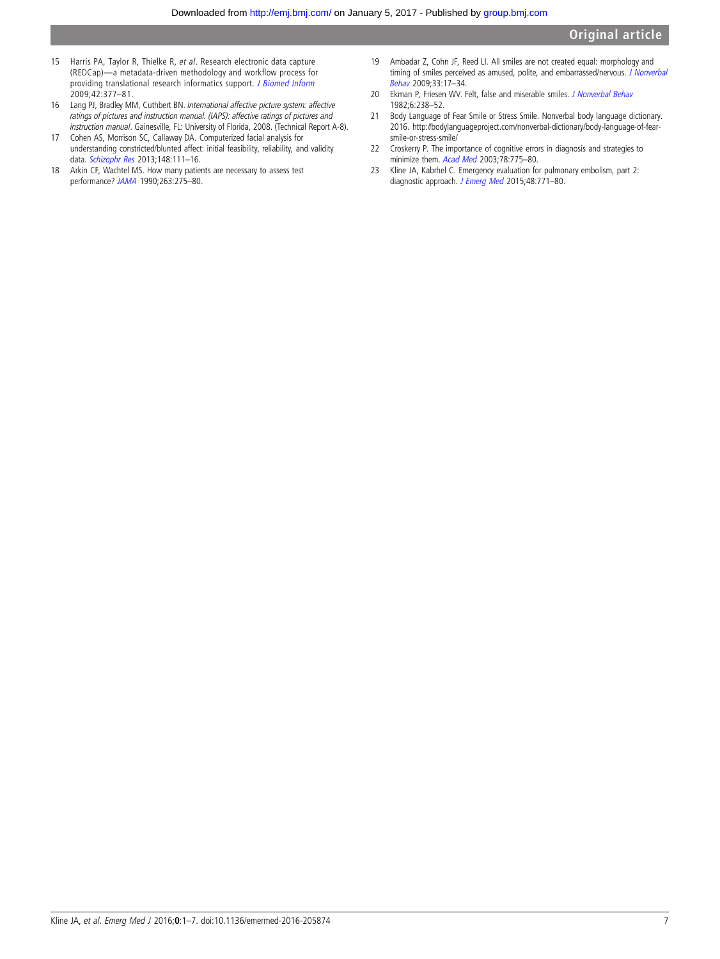- <span id="page-6-0"></span>15 Harris PA, Taylor R, Thielke R, et al. Research electronic data capture (REDCap)—a metadata-driven methodology and workflow process for providing translational research informatics support. [J Biomed Inform](http://dx.doi.org/10.1016/j.jbi.2008.08.010) 2009;42:377–81.
- 16 Lang PJ, Bradley MM, Cuthbert BN. International affective picture system: affective ratings of pictures and instruction manual. (IAPS): affective ratings of pictures and instruction manual. Gainesville, FL: University of Florida, 2008. (Technical Report A-8).
- 17 Cohen AS, Morrison SC, Callaway DA. Computerized facial analysis for understanding constricted/blunted affect: initial feasibility, reliability, and validity data. [Schizophr Res](http://dx.doi.org/10.1016/j.schres.2013.05.003) 2013;148:111–16.
- 18 Arkin CF, Wachtel MS. How many patients are necessary to assess test performance? [JAMA](http://dx.doi.org/10.1001/jama.1990.03440020109043) 1990;263:275–80.
- 19 Ambadar Z, Cohn JF, Reed LI. All smiles are not created equal: morphology and timing of smiles perceived as amused, polite, and embarrassed/nervous. [J Nonverbal](http://dx.doi.org/10.1007/s10919-008-0059-5) [Behav](http://dx.doi.org/10.1007/s10919-008-0059-5) 2009;33:17–34.
- 20 Ekman P, Friesen WV. Felt, false and miserable smiles. [J Nonverbal Behav](http://dx.doi.org/10.1007/BF00987191) 1982;6:238–52.
- 21 Body Language of Fear Smile or Stress Smile. Nonverbal body language dictionary. 2016. [http://bodylanguageproject.com/nonverbal-dictionary/body-language-of-fear](http://bodylanguageproject.com/nonverbal-dictionary/body-language-of-fear-smile-or-stress-smile/)[smile-or-stress-smile/](http://bodylanguageproject.com/nonverbal-dictionary/body-language-of-fear-smile-or-stress-smile/)
- 22 Croskerry P. The importance of cognitive errors in diagnosis and strategies to minimize them. [Acad Med](http://dx.doi.org/10.1097/00001888-200308000-00003) 2003;78:775–80.
- 23 Kline JA, Kabrhel C. Emergency evaluation for pulmonary embolism, part 2: diagnostic approach. [J Emerg Med](http://dx.doi.org/10.1016/j.jemermed.2014.12.040) 2015;48:771-80.